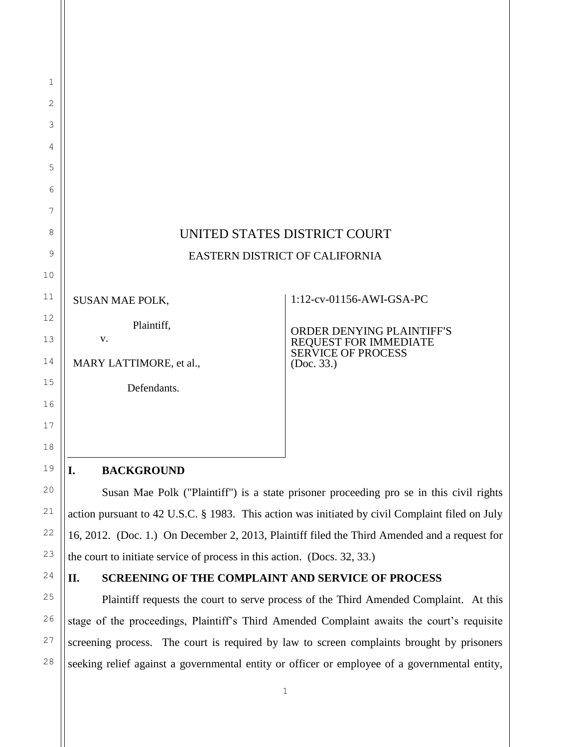|                         | UNITED STATES DISTRICT COURT                                                    |
|-------------------------|---------------------------------------------------------------------------------|
|                         | EASTERN DISTRICT OF CALIFORNIA                                                  |
|                         |                                                                                 |
| <b>SUSAN MAE POLK,</b>  | 1:12-cv-01156-AWI-GSA-PC                                                        |
| Plaintiff,<br>V.        | ORDER DENYING PLAINTIFF'S<br>REQUEST FOR IMMEDIATE<br><b>SERVICE OF PROCESS</b> |
| MARY LATTIMORE, et al., | (Doc. 33.)                                                                      |
| Defendants.             |                                                                                 |
|                         |                                                                                 |
|                         |                                                                                 |
|                         |                                                                                 |
| I.<br><b>BACKGROUND</b> |                                                                                 |

Susan Mae Polk ("Plaintiff") is a state prisoner proceeding pro se in this civil rights action pursuant to 42 U.S.C. § 1983. This action was initiated by civil Complaint filed on July 16, 2012. (Doc. 1.) On December 2, 2013, Plaintiff filed the Third Amended and a request for the court to initiate service of process in this action. (Docs. 32, 33.)

24

1

2

3

4

5

6

7

8

9

10

11

12

13

14

15

16

17

18

19

20

21

22

23

25

26

27

28

## **II. SCREENING OF THE COMPLAINT AND SERVICE OF PROCESS**

Plaintiff requests the court to serve process of the Third Amended Complaint. At this stage of the proceedings, Plaintiff's Third Amended Complaint awaits the court's requisite screening process. The court is required by law to screen complaints brought by prisoners seeking relief against a governmental entity or officer or employee of a governmental entity,